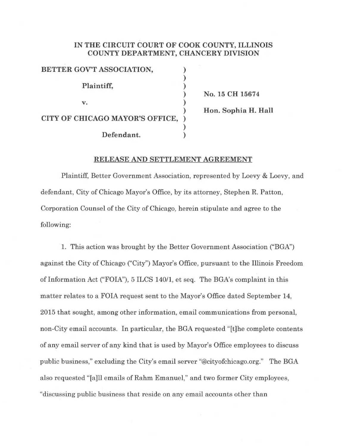## IN THE CIRCUIT COURT OF COOK COUNTY, ILLINOIS COUNTY DEPARTMENT, CHANCERY DIVISION

| BETTER GOV'T ASSOCIATION,       |     |
|---------------------------------|-----|
|                                 |     |
| Plaintiff,                      |     |
|                                 | No. |
| $\mathbf{V}_{\bullet}$          |     |
|                                 | Hon |
| CITY OF CHICAGO MAYOR'S OFFICE, |     |
|                                 |     |
| Defendant.                      |     |

15 CH 15674 n. Sophia H. Hall

## RELEASE AND SETTLEMENT AGREEMENT

Plaintiff, Better Government Association, represented by Loevy & Loevy, and defendant, City of Chicago Mayor's Office, by its attorney, Stephen R. Patton, Corporation Counsel of the City of Chicago, herein stipulate and agree to the following:

1. This action was brought by the Better Government Association ("BGA") against the City of Chicago ("City") Mayor's Office, pursuant to the Illinois Freedom of Information Act ("FOIA"), 5 ILCS 140/1, et seq. The BGA's complaint in this matter relates to a FOIA request sent to the Mayor's Office dated September 14, 2015 that sought, among other information, email communications from personal, non-City email accounts. In particular, the BGA requested "[t]he complete contents of any email server of any kind that is used by Mayor's Office employees to discuss public business," excluding the City's email server "@cityofchicago.org." The BGA also requested "[a]11 emails of Rahm Emanuel," and two former City employees, "discussing public business that reside on any email accounts other than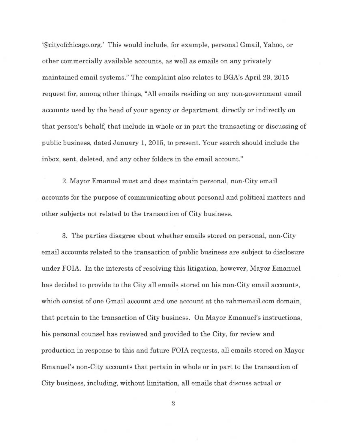`@cityofchicago.org.' This would include, for example, personal Gmail, Yahoo, or other commercially available accounts, as well as emails on any privately maintained email systems." The complaint also relates to BGA's Apri129, 2015 request for, among other things, "All emails residing on any non-government email accounts used by the head of your agency or department, directly or indirectly on that person's behalf, that include in whole or in part the transacting or discussing of public business, dated January 1, 2015, to present. Your search should include the inbox, sent, deleted, and any other folders in the email account."

2. Mayor Emanuel must and does maintain personal, non-City email accounts for the purpose of communicating about personal and political matters and other subjects not related to the transaction of City business.

3. The parties disagree about whether emails stored on personal, non-City email accounts related to the transaction of public business are subject to disclosure under FOIA. In the interests of resolving this litigation, however, Mayor Emanuel has decided to provide to the City all emails stored on his non-City email accounts, which consist of one Gmail account and one account at the rahmemail.com domain, that pertain to the transaction of City business. On Mayor Emanuel's instructions, his personal counsel has reviewed and provided to the City, for review and production in response to this and future FOIA requests, all emails stored on Mayor Emanuel's non-City accounts that pertain in whole or in part to the transaction of City business, including, without limitation, all emails that discuss actual or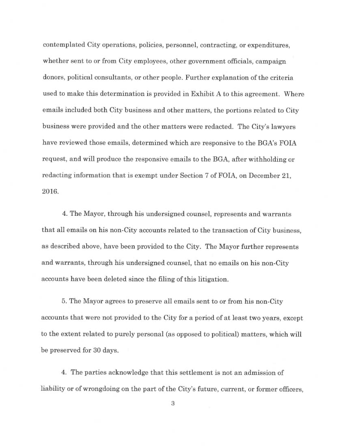contemplated City operations, policies, personnel, contracting, or expenditures, whether sent to or from City employees, other government officials, campaign donors, political consultants, or other people. Further explanation of the criteria used to make this determination is provided in Exhibit A to this agreement. Where emails included both City business and other matters, the portions related to City business were provided and the other matters were redacted. The City's lawyers have reviewed those emails, determined which are responsive to the BGA's FOIA request, and will produce the responsive emails to the BGA, after withholding or redacting information that is exempt under Section 7 of FOIA, on December 21, 2016.

4. The Mayor, through his undersigned counsel, represents and warrants that all emails on his non-City accounts related to the transaction of City business, as described above, have been provided to the City. The Mayor further represents and warrants, through his undersigned counsel, that no emails on his non-City accounts have been deleted since the filing of this litigation.

5. The Mayor agrees to preserve all emails sent to or from his non-City accounts that were not provided to the City for a period of at least two years, except to the extent related to purely personal (as opposed to political) matters, which will be preserved for 30 days.

4. The parties acknowledge that this settlement is not an admission of liability or of wrongdoing on the part of the City's future, current, or former officers,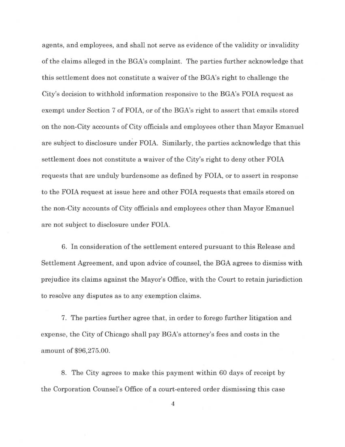agents, and employees, and shall not serve as evidence of the validity or invalidity of the claims alleged in the BGA's complaint. The parties further acknowledge that this settlement does not constitute a waiver of the BGA's right to challenge the City's decision to withhold information responsive to the BGA's FOIA request as exempt under Section 7 of FOIA, or of the BGA's right to assert that emails stored on the non-City accounts of City officials and employees other than Mayor Emanuel are subject to disclosure under FOIA. Similarly, the parties acknowledge that this settlement does not constitute a waiver of the City's right to deny other FOIA requests that are unduly burdensome as defined by FOIA, or to assert in response to the FOIA request at issue here and other FOIA requests that emails stored on the non-City accounts of City officials and employees other than Mayor Emanuel are not subject to disclosure under FOIA.

6. In consideration of the settlement entered pursuant to this Release and Settlement Agreement, and upon advice of counsel, the BGA agrees to dismiss with prejudice its claims against the Mayor's Office, with the Court to retain jurisdiction to resolve any disputes as to any exemption claims.

7. The parties further agree that, in order to forego further litigation and expense, the City of Chicago shall pay BGA's attorney's fees and costs in the amount of \$96,275.00.

8. The City agrees to make this payment within 60 days of receipt by the Corporation Counsel's Office of acourt-entered order dismissing this case

4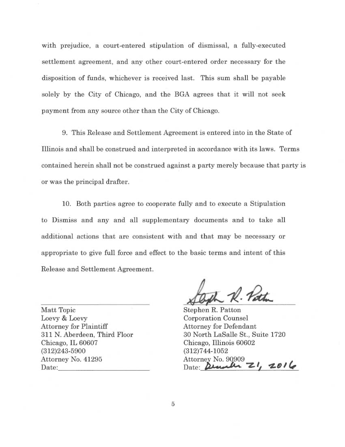with prejudice, a court-entered stipulation of dismissal, a fully-executed settlement agreement, and any other court-entered order necessary for the disposition of funds, whichever is received last. This sum shall be payable solely by the City of Chicago, and the BGA agrees that it will not seek payment from any source other than the City of Chicago.

9. This Release and Settlement Agreement is entered into in the State of Illinois and shall be construed and interpreted in accordance with its laws. Terms contained herein shall not be construed against a party merely because that party is or was the principal drafter.

10. Both parties agree to cooperate fully and to execute a Stipulation to Dismiss and any and all supplementary documents and to take all additional actions that are consistent with and that may be necessary or appropriate to give full force and effect to the basic terms and intent of this Release and Settlement Agreement.

Matt Topic Loevy & Loevy Attorney for Plaintiff 311 N. Aberdeen, Third Floor Chicago, IL 60607 (312)243-5900 Attorney No. 41295 Date:

 $\mathcal{L}_{\mathcal{A}}$  $ilm$   $K \cdot r$  and

Stephen R. Patton Corporation Counsel Attorney for Defendant 30 North LaSalle St., Suite 1720 Chicago, Illinois 60602 (312)744-1052 Attorney No. 90909 Date: December 21, 2016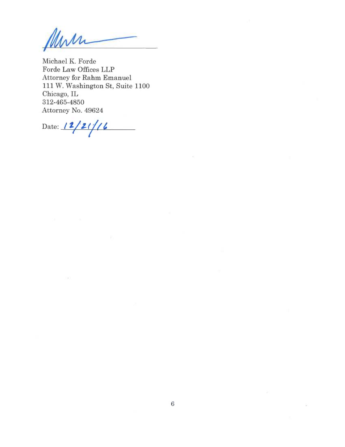Mers

Michael K. Forde Forde Law Offices LLP Attorney for Rahm Emanuel 111 W. Washington St, Suite 1100 Chicago, IL 312-465-4850 Attorney No. 49624

Date:  $12/21/6$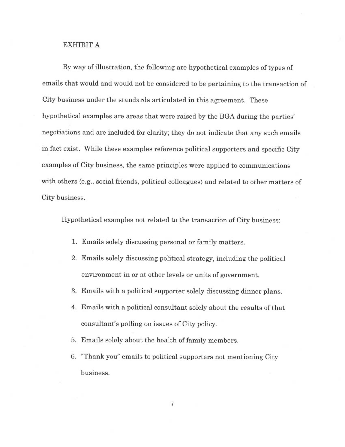## EXHIBIT A

By way of illustration, the following are hypothetical examples of types of emails that would and would not be considered to be pertaining to the transaction of City business under the standards articulated in this agreement. These hypothetical examples are areas that were raised by the BGA during the parties' negotiations and are included for clarity; they do not indicate that any such emails in fact exist. While these examples reference political supporters and specific City examples of City business, the same principles were applied to communications with others (e.g., social friends, political colleagues) and related to other matters of City business.

Hypothetical examples not related to the transaction of City business:

- 1. Emails solely discussing personal or family matters.
- 2. Emails solely discussing political strategy, including the political environment in or at other levels or units of government.
- 3. Emails with a political supporter solely discussing dinner plans.
- 4. Emails with a political consultant solely about the results of that consultant's polling on issues of City policy.
- 5. Emails solely about the health of family members.
- 6. "Thank you" emails to political supporters not mentioning City business.

7